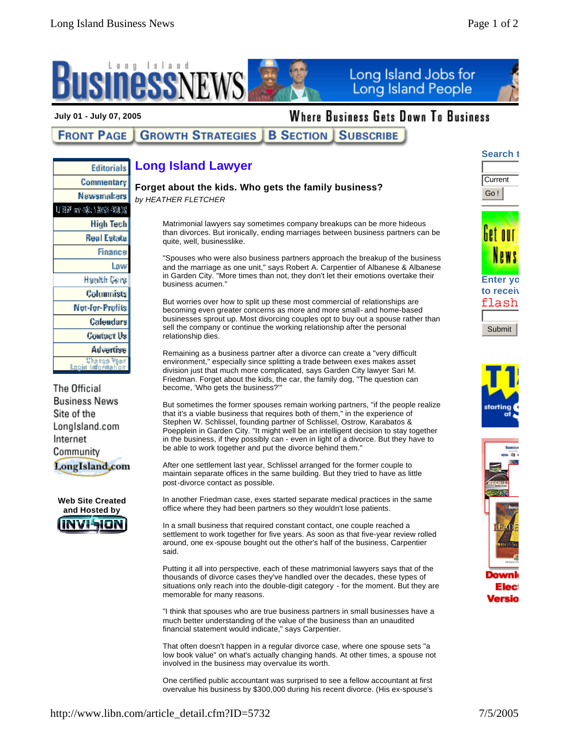

### **July 01 - July 07, 2005**

**Editorials** Commentary

# Where Business Gets Down To Business

#### **GROWTH STRATEGIES B SECTION | SUBSCRIBE FRONT PAGE**

## **Long Island Lawyer**

### **Forget about the kids. Who gets the family business?**

*by HEATHER FLETCHER*

Matrimonial lawyers say sometimes company breakups can be more hideous than divorces. But ironically, ending marriages between business partners can be quite, well, businesslike.

"Spouses who were also business partners approach the breakup of the business and the marriage as one unit," says Robert A. Carpentier of Albanese & Albanese in Garden City. "More times than not, they don't let their emotions overtake their business acumen."

But worries over how to split up these most commercial of relationships are becoming even greater concerns as more and more small- and home-based businesses sprout up. Most divorcing couples opt to buy out a spouse rather than sell the company or continue the working relationship after the personal relationship dies.

Remaining as a business partner after a divorce can create a "very difficult environment," especially since splitting a trade between exes makes asset division just that much more complicated, says Garden City lawyer Sari M. Friedman. Forget about the kids, the car, the family dog, "The question can become, 'Who gets the business?'"

But sometimes the former spouses remain working partners, "if the people realize that it's a viable business that requires both of them," in the experience of Stephen W. Schlissel, founding partner of Schlissel, Ostrow, Karabatos & Poepplein in Garden City. "It might well be an intelligent decision to stay together in the business, if they possibly can - even in light of a divorce. But they have to be able to work together and put the divorce behind them."

After one settlement last year, Schlissel arranged for the former couple to maintain separate offices in the same building. But they tried to have as little post-divorce contact as possible.

In another Friedman case, exes started separate medical practices in the same office where they had been partners so they wouldn't lose patients.

In a small business that required constant contact, one couple reached a settlement to work together for five years. As soon as that five-year review rolled around, one ex-spouse bought out the other's half of the business, Carpentier said.

Putting it all into perspective, each of these matrimonial lawyers says that of the thousands of divorce cases they've handled over the decades, these types of situations only reach into the double-digit category - for the moment. But they are memorable for many reasons.

"I think that spouses who are true business partners in small businesses have a much better understanding of the value of the business than an unaudited financial statement would indicate," says Carpentier.

That often doesn't happen in a regular divorce case, where one spouse sets "a low book value" on what's actually changing hands. At other times, a spouse not involved in the business may overvalue its worth.

One certified public accountant was surprised to see a fellow accountant at first overvalue his business by \$300,000 during his recent divorce. (His ex-spouse's



**Search t** 

**Current** Go !









Elec Versio